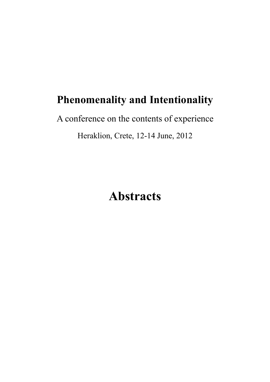## **Phenomenality and Intentionality**

A conference on the contents of experience Heraklion, Crete, 12-14 June, 2012

# **Abstracts**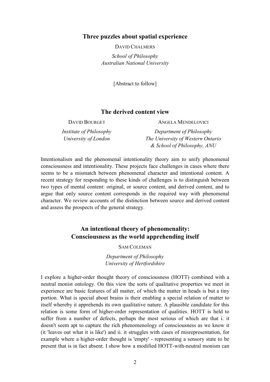#### **Three puzzles about spatial experience**

DAVID CHALMERS

*School of Philosophy Australian National University* 

[Abstract to follow]

#### **The derived content view**

DAVID BOURGET *Institute of Philosophy University of London* ANGELA MENDELOVICI *Department of Philosophy The University of Western Ontario & School of Philosophy, ANU*

Intentionalism and the phenomenal intentionality theory aim to unify phenomenal consciousness and intentionality. These projects face challenges in cases where there seems to be a mismatch between phenomenal character and intentional content. A recent strategy for responding to these kinds of challenges is to distinguish between two types of mental content: original, or source content, and derived content, and to argue that only source content corresponds in the required way with phenomenal character. We review accounts of the distinction between source and derived content and assess the prospects of the general strategy.

## **An intentional theory of phenomenality: Consciousness as the world apprehending itself**

SAM COLEMAN

*Department of Philosophy University of Hertfordshire* 

I explore a higher-order thought theory of consciousness (HOTT) combined with a neutral monist ontology. On this view the sorts of qualitative properties we meet in experience are basic features of all matter, of which the matter in heads is but a tiny portion. What is special about brains is their enabling a special relation of matter to itself whereby it apprehends its own qualitative nature. A plausible candidate for this relation is some form of higher-order representation of qualities. HOTT is held to suffer from a number of defects, perhaps the most serious of which are that i. it doesn't seem apt to capture the rich phenomenology of consciousness as we know it (it 'leaves out what it is like') and ii. it struggles with cases of misrepresentation, for example where a higher-order thought is 'empty' - representing a sensory state to be present that is in fact absent. I show how a modified HOTT-with-neutral monism can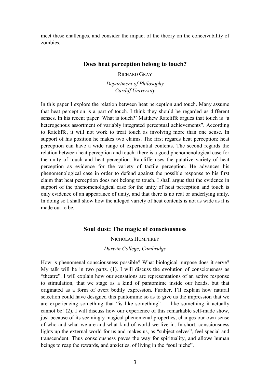meet these challenges, and consider the impact of the theory on the conceivability of zombies.

#### **Does heat perception belong to touch?**

RICHARD GRAY

*Department of Philosophy Cardiff University* 

In this paper I explore the relation between heat perception and touch. Many assume that heat perception is a part of touch. I think they should be regarded as different senses. In his recent paper 'What is touch?' Matthew Ratcliffe argues that touch is "a heterogenous assortment of variably integrated perceptual achievements". According to Ratcliffe, it will not work to treat touch as involving more than one sense. In support of his position he makes two claims. The first regards heat perception: heat perception can have a wide range of experiential contents. The second regards the relation between heat perception and touch: there is a good phenomenological case for the unity of touch and heat perception. Ratcliffe uses the putative variety of heat perception as evidence for the variety of tactile perception. He advances his phenomenological case in order to defend against the possible response to his first claim that heat perception does not belong to touch. I shall argue that the evidence in support of the phenomenological case for the unity of heat perception and touch is only evidence of an appearance of unity, and that there is no real or underlying unity. In doing so I shall show how the alleged variety of heat contents is not as wide as it is made out to be.

#### **Soul dust: The magic of consciousness**

NICHOLAS HUMPHREY

*Darwin College, Cambridge* 

How is phenomenal consciousness possible? What biological purpose does it serve? My talk will be in two parts. (1). I will discuss the evolution of consciousness as "theatre". I will explain how our sensations are representations of an active response to stimulation, that we stage as a kind of pantomime inside our heads, but that originated as a form of overt bodily expression. Further, I'll explain how natural selection could have designed this pantomime so as to give us the impression that we are experiencing something that "is like something" – like something it actually cannot be! (2). I will discuss how our experience of this remarkable self-made show, just because of its seemingly magical phenomenal properties, changes our own sense of who and what we are and what kind of world we live in. In short, consciousness lights up the external world for us and makes us, as "subject selves", feel special and transcendent. Thus consciousness paves the way for spirituality, and allows human beings to reap the rewards, and anxieties, of living in the "soul niche".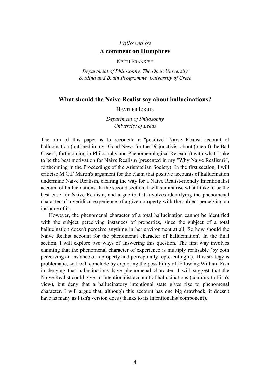## *Followed by*  **A comment on Humphrey**

KEITH FRANKISH

*Department of Philosophy, The Open University & Mind and Brain Programme, University of Crete* 

#### **What should the Naive Realist say about hallucinations?**

#### HEATHER LOGUE

*Department of Philosophy University of Leeds* 

The aim of this paper is to reconcile a "positive" Naive Realist account of hallucination (outlined in my "Good News for the Disjunctivist about (one of) the Bad Cases", forthcoming in Philosophy and Phenomenological Research) with what I take to be the best motivation for Naive Realism (presented in my "Why Naive Realism?", forthcoming in the Proceedings of the Aristotelian Society). In the first section, I will criticise M.G.F Martin's argument for the claim that positive accounts of hallucination undermine Naive Realism, clearing the way for a Naive Realist-friendly Intentionalist account of hallucinations. In the second section, I will summarise what I take to be the best case for Naive Realism, and argue that it involves identifying the phenomenal character of a veridical experience of a given property with the subject perceiving an instance of it.

 However, the phenomenal character of a total hallucination cannot be identified with the subject perceiving instances of properties, since the subject of a total hallucination doesn't perceive anything in her environment at all. So how should the Naive Realist account for the phenomenal character of hallucination? In the final section, I will explore two ways of answering this question. The first way involves claiming that the phenomenal character of experience is multiply realisable (by both perceiving an instance of a property and perceptually representing it). This strategy is problematic, so I will conclude by exploring the possibility of following William Fish in denying that hallucinations have phenomenal character. I will suggest that the Naive Realist could give an Intentionalist account of hallucinations (contrary to Fish's view), but deny that a hallucinatory intentional state gives rise to phenomenal character. I will argue that, although this account has one big drawback, it doesn't have as many as Fish's version does (thanks to its Intentionalist component).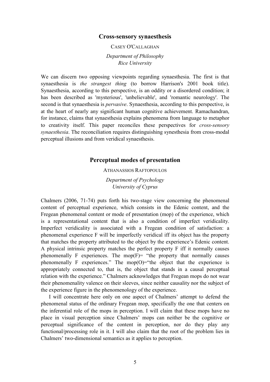#### **Cross-sensory synaesthesis**

CASEY O'CALLAGHAN

*Department of Philosophy Rice University* 

We can discern two opposing viewpoints regarding synaesthesia. The first is that synaesthesia is *the strangest thing* (to borrow Harrison's 2001 book title). Synaesthesia, according to this perspective, is an oddity or a disordered condition; it has been described as 'mysterious', 'unbelievable', and 'romantic neurology'. The second is that synaesthesia is *pervasive*. Synaesthesia, according to this perspective, is at the heart of nearly any significant human cognitive achievement. Ramachandran, for instance, claims that synaesthesia explains phenomena from language to metaphor to creativity itself. This paper reconciles these perspectives for *cross-sensory synaesthesia*. The reconciliation requires distinguishing synesthesia from cross-modal perceptual illusions and from veridical synaesthesis.

#### **Perceptual modes of presentation**

#### ATHANASSIOS RAFTOPOULOS

*Department of Psychology University of Cyprus* 

Chalmers (2006, 71-74) puts forth his two-stage view concerning the phenomenal content of perceptual experience, which consists in the Edenic content, and the Fregean phenomenal content or mode of presentation (mop) of the experience, which is a representational content that is also a condition of imperfect veridicality. Imperfect veridicality is associated with a Fregean condition of satisfaction: a phenomenal experience F will be imperfectly veridical iff its object has the property that matches the property attributed to the object by the experience's Edenic content. A physical intrinsic property matches the perfect property F iff it normally causes phenomenally F experiences. The mop( $F$ ) = "the property that normally causes phenomenally F experiences." The mop(O)="the object that the experience is appropriately connected to, that is, the object that stands in a causal perceptual relation with the experience." Chalmers acknowledges that Fregean mops do not wear their phenomenality valence on their sleeves, since neither causality nor the subject of the experience figure in the phenomenology of the experience.

 I will concentrate here only on one aspect of Chalmers' attempt to defend the phenomenal status of the ordinary Fregean mop, specifically the one that centers on the inferential role of the mops in perception. I will claim that these mops have no place in visual perception since Chalmers' mops can neither be the cognitive or perceptual significance of the content in perception, nor do they play any functional/processing role in it. I will also claim that the root of the problem lies in Chalmers' two-dimensional semantics as it applies to perception.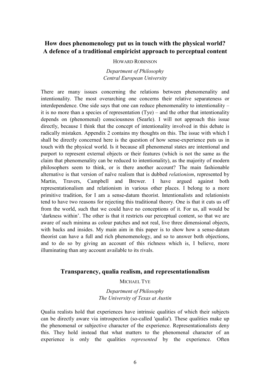## **How does phenomenology put us in touch with the physical world? A defence of a traditional empiricist approach to perceptual content**

#### HOWARD ROBINSON

*Department of Philosophy Central European University* 

There are many issues concerning the relations between phenomenality and intentionality. The most overarching one concerns their relative separateness or interdependence. One side says that one can reduce phenomenality to intentionality – it is no more than a species of representation (Tye) – and the other that intentionality depends on (phenomenal) consciousness (Searle). I will not approach this issue directly, because I think that the concept of intentionality involved in this debate is radically mistaken. Appendix 2 contains my thoughts on this. The issue with which I shall be directly concerned here is the question of how sense-experience puts us in touch with the physical world. Is it because all phenomenal states are intentional and purport to represent external objects or their features (which is not the same as the claim that phenomenality can be reduced to intentionality), as the majority of modern philosophers seem to think, or is there another account? The main fashionable alternative is that version of naïve realism that is dubbed *relationism*, represented by Martin, Travers, Campbell and Brewer. I have argued against both representationalism and relationism in various other places. I belong to a more primitive tradition, for I am a sense-datum theorist. Intentionalists and relationists tend to have two reasons for rejecting this traditional theory. One is that it cuts us off from the world, such that we could have no conceptions of it. For us, all would be 'darkness within'. The other is that it restricts our perceptual content, so that we are aware of such minima as colour patches and not real, live three dimensional objects, with backs and insides. My main aim in this paper is to show how a sense-datum theorist can have a full and rich phenomenology, and so to answer both objections, and to do so by giving an account of this richness which is, I believe, more illuminating than any account available to its rivals.

#### **Transparency, qualia realism, and representationalism**

#### MICHAEL TYE

*Department of Philosophy The University of Texas at Austin* 

Qualia realists hold that experiences have intrinsic qualities of which their subjects can be directly aware via introspection (so-called 'qualia'). These qualities make up the phenomenal or subjective character of the experience. Representationalists deny this. They hold instead that what matters to the phenomenal character of an experience is only the qualities *represented* by the experience. Often